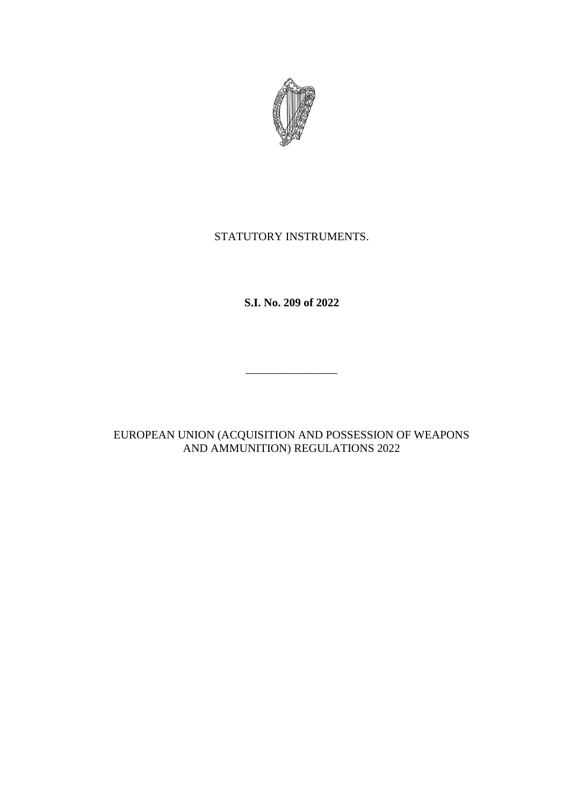

# STATUTORY INSTRUMENTS.

**S.I. No. 209 of 2022**

\_\_\_\_\_\_\_\_\_\_\_\_\_\_\_\_

EUROPEAN UNION (ACQUISITION AND POSSESSION OF WEAPONS AND AMMUNITION) REGULATIONS 2022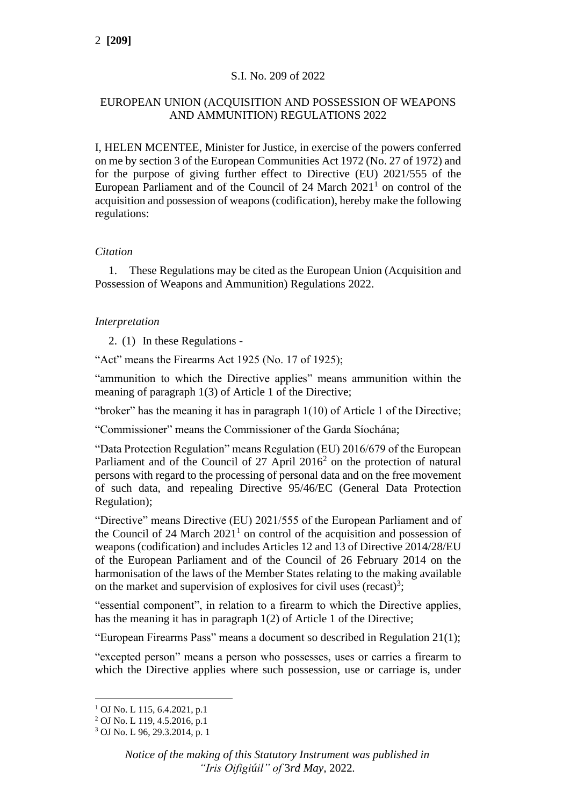# S.I. No. 209 of 2022

# EUROPEAN UNION (ACQUISITION AND POSSESSION OF WEAPONS AND AMMUNITION) REGULATIONS 2022

I, HELEN MCENTEE, Minister for Justice, in exercise of the powers conferred on me by section 3 of the European Communities Act 1972 (No. 27 of 1972) and for the purpose of giving further effect to Directive (EU) 2021/555 of the European Parliament and of the Council of  $24$  March  $2021<sup>1</sup>$  on control of the acquisition and possession of weapons (codification), hereby make the following regulations:

## *Citation*

1. These Regulations may be cited as the European Union (Acquisition and Possession of Weapons and Ammunition) Regulations 2022.

## *Interpretation*

2. (1) In these Regulations -

"Act" means the Firearms Act 1925 (No. 17 of 1925);

"ammunition to which the Directive applies" means ammunition within the meaning of paragraph 1(3) of Article 1 of the Directive;

"broker" has the meaning it has in paragraph 1(10) of Article 1 of the Directive;

"Commissioner" means the Commissioner of the Garda Síochána;

"Data Protection Regulation" means Regulation (EU) 2016/679 of the European Parliament and of the Council of 27 April 2016<sup>2</sup> on the protection of natural persons with regard to the processing of personal data and on the free movement of such data, and repealing Directive 95/46/EC (General Data Protection Regulation);

"Directive" means Directive (EU) 2021/555 of the European Parliament and of the Council of 24 March  $2021<sup>1</sup>$  on control of the acquisition and possession of weapons (codification) and includes Articles 12 and 13 of Directive 2014/28/EU of the European Parliament and of the Council of 26 February 2014 on the harmonisation of the laws of the Member States relating to the making available on the market and supervision of explosives for civil uses (recast)<sup>3</sup>;

"essential component", in relation to a firearm to which the Directive applies, has the meaning it has in paragraph 1(2) of Article 1 of the Directive;

"European Firearms Pass" means a document so described in Regulation 21(1);

"excepted person" means a person who possesses, uses or carries a firearm to which the Directive applies where such possession, use or carriage is, under

<sup>1</sup> OJ No. L 115, 6.4.2021, p.1

 $^{2}$  OJ No. L 119, 4.5.2016, p.1

<sup>3</sup> OJ No. L 96, 29.3.2014, p. 1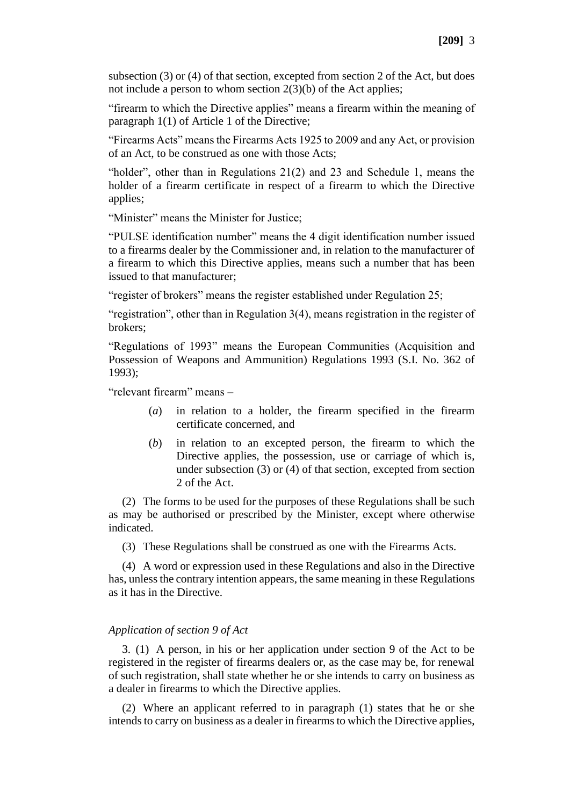subsection (3) or (4) of that section, excepted from section 2 of the Act, but does not include a person to whom section 2(3)(b) of the Act applies;

"firearm to which the Directive applies" means a firearm within the meaning of paragraph 1(1) of Article 1 of the Directive;

"Firearms Acts" means the Firearms Acts 1925 to 2009 and any Act, or provision of an Act, to be construed as one with those Acts;

"holder", other than in Regulations 21(2) and 23 and Schedule 1, means the holder of a firearm certificate in respect of a firearm to which the Directive applies;

"Minister" means the Minister for Justice;

"PULSE identification number" means the 4 digit identification number issued to a firearms dealer by the Commissioner and, in relation to the manufacturer of a firearm to which this Directive applies, means such a number that has been issued to that manufacturer;

"register of brokers" means the register established under Regulation 25;

"registration", other than in Regulation 3(4), means registration in the register of brokers;

"Regulations of 1993" means the European Communities (Acquisition and Possession of Weapons and Ammunition) Regulations 1993 (S.I. No. 362 of 1993);

"relevant firearm" means –

- (*a*) in relation to a holder, the firearm specified in the firearm certificate concerned, and
- (*b*) in relation to an excepted person, the firearm to which the Directive applies, the possession, use or carriage of which is, under subsection (3) or (4) of that section, excepted from section 2 of the Act.

(2) The forms to be used for the purposes of these Regulations shall be such as may be authorised or prescribed by the Minister, except where otherwise indicated.

(3) These Regulations shall be construed as one with the Firearms Acts.

(4) A word or expression used in these Regulations and also in the Directive has, unless the contrary intention appears, the same meaning in these Regulations as it has in the Directive.

#### *Application of section 9 of Act*

3. (1) A person, in his or her application under section 9 of the Act to be registered in the register of firearms dealers or, as the case may be, for renewal of such registration, shall state whether he or she intends to carry on business as a dealer in firearms to which the Directive applies.

(2) Where an applicant referred to in paragraph (1) states that he or she intends to carry on business as a dealer in firearms to which the Directive applies,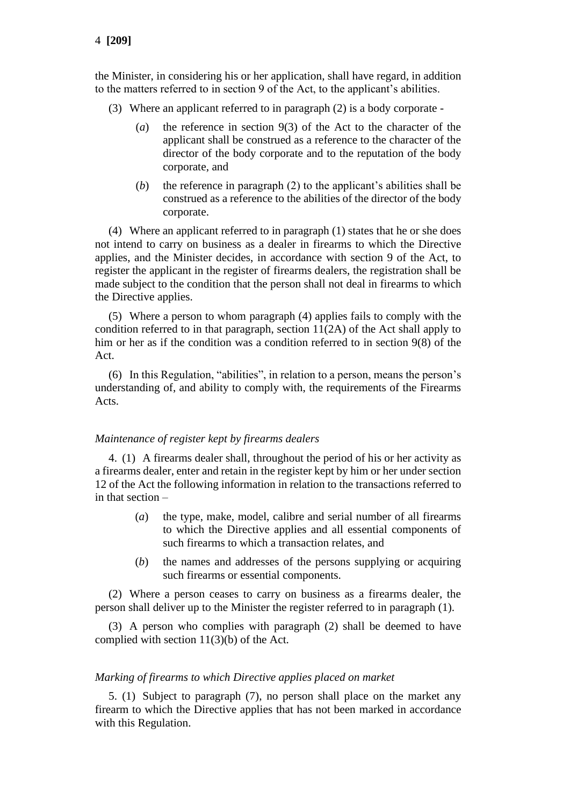the Minister, in considering his or her application, shall have regard, in addition to the matters referred to in section 9 of the Act, to the applicant's abilities.

- (3) Where an applicant referred to in paragraph (2) is a body corporate
	- (*a*) the reference in section 9(3) of the Act to the character of the applicant shall be construed as a reference to the character of the director of the body corporate and to the reputation of the body corporate, and
	- (*b*) the reference in paragraph (2) to the applicant's abilities shall be construed as a reference to the abilities of the director of the body corporate.

(4) Where an applicant referred to in paragraph (1) states that he or she does not intend to carry on business as a dealer in firearms to which the Directive applies, and the Minister decides, in accordance with section 9 of the Act, to register the applicant in the register of firearms dealers, the registration shall be made subject to the condition that the person shall not deal in firearms to which the Directive applies.

(5) Where a person to whom paragraph (4) applies fails to comply with the condition referred to in that paragraph, section 11(2A) of the Act shall apply to him or her as if the condition was a condition referred to in section 9(8) of the Act.

(6) In this Regulation, "abilities", in relation to a person, means the person's understanding of, and ability to comply with, the requirements of the Firearms Acts.

#### *Maintenance of register kept by firearms dealers*

4. (1) A firearms dealer shall, throughout the period of his or her activity as a firearms dealer, enter and retain in the register kept by him or her under section 12 of the Act the following information in relation to the transactions referred to in that section –

- (*a*) the type, make, model, calibre and serial number of all firearms to which the Directive applies and all essential components of such firearms to which a transaction relates, and
- (*b*) the names and addresses of the persons supplying or acquiring such firearms or essential components.

(2) Where a person ceases to carry on business as a firearms dealer, the person shall deliver up to the Minister the register referred to in paragraph (1).

(3) A person who complies with paragraph (2) shall be deemed to have complied with section 11(3)(b) of the Act.

#### *Marking of firearms to which Directive applies placed on market*

5. (1) Subject to paragraph (7), no person shall place on the market any firearm to which the Directive applies that has not been marked in accordance with this Regulation.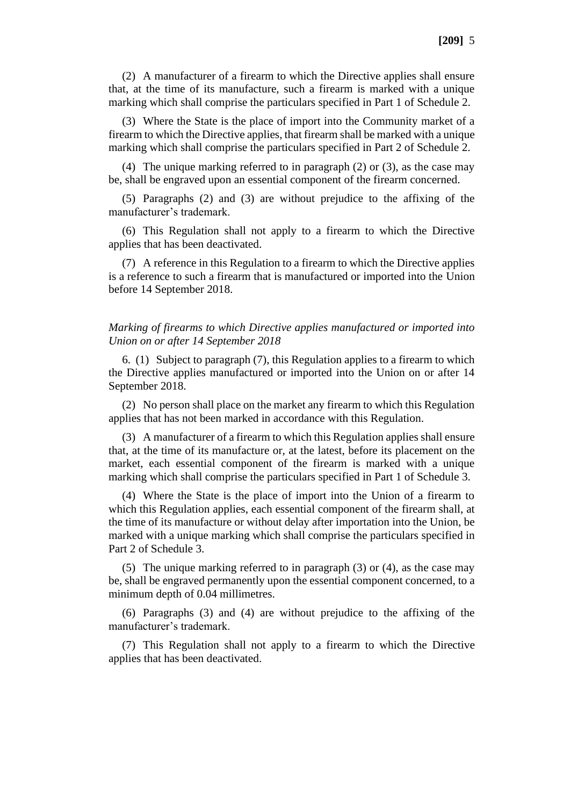(2) A manufacturer of a firearm to which the Directive applies shall ensure that, at the time of its manufacture, such a firearm is marked with a unique marking which shall comprise the particulars specified in Part 1 of Schedule 2.

(3) Where the State is the place of import into the Community market of a firearm to which the Directive applies, that firearm shall be marked with a unique marking which shall comprise the particulars specified in Part 2 of Schedule 2.

(4) The unique marking referred to in paragraph (2) or (3), as the case may be, shall be engraved upon an essential component of the firearm concerned.

(5) Paragraphs (2) and (3) are without prejudice to the affixing of the manufacturer's trademark.

(6) This Regulation shall not apply to a firearm to which the Directive applies that has been deactivated.

(7) A reference in this Regulation to a firearm to which the Directive applies is a reference to such a firearm that is manufactured or imported into the Union before 14 September 2018.

#### *Marking of firearms to which Directive applies manufactured or imported into Union on or after 14 September 2018*

6. (1) Subject to paragraph (7), this Regulation applies to a firearm to which the Directive applies manufactured or imported into the Union on or after 14 September 2018.

(2) No person shall place on the market any firearm to which this Regulation applies that has not been marked in accordance with this Regulation.

(3) A manufacturer of a firearm to which this Regulation applies shall ensure that, at the time of its manufacture or, at the latest, before its placement on the market, each essential component of the firearm is marked with a unique marking which shall comprise the particulars specified in Part 1 of Schedule 3.

(4) Where the State is the place of import into the Union of a firearm to which this Regulation applies, each essential component of the firearm shall, at the time of its manufacture or without delay after importation into the Union, be marked with a unique marking which shall comprise the particulars specified in Part 2 of Schedule 3.

(5) The unique marking referred to in paragraph (3) or (4), as the case may be, shall be engraved permanently upon the essential component concerned, to a minimum depth of 0.04 millimetres.

(6) Paragraphs (3) and (4) are without prejudice to the affixing of the manufacturer's trademark.

(7) This Regulation shall not apply to a firearm to which the Directive applies that has been deactivated.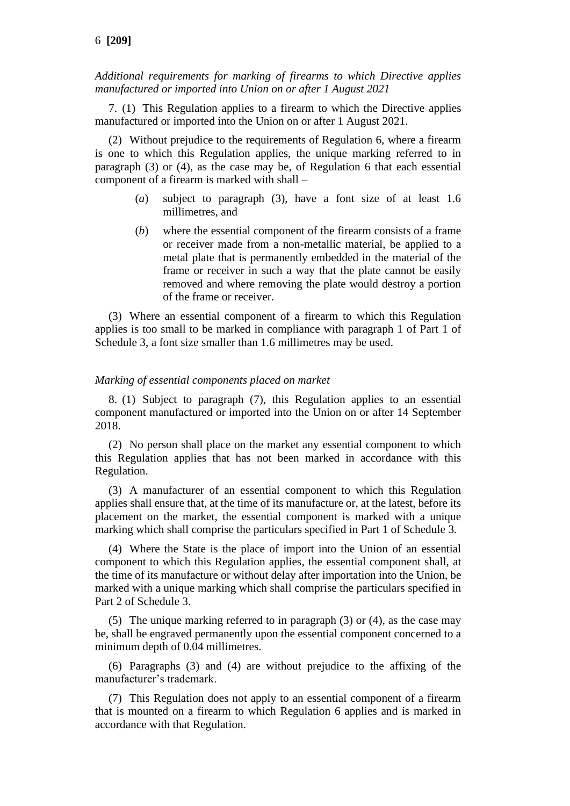*Additional requirements for marking of firearms to which Directive applies manufactured or imported into Union on or after 1 August 2021*

7. (1) This Regulation applies to a firearm to which the Directive applies manufactured or imported into the Union on or after 1 August 2021.

(2) Without prejudice to the requirements of Regulation 6, where a firearm is one to which this Regulation applies, the unique marking referred to in paragraph (3) or (4), as the case may be, of Regulation 6 that each essential component of a firearm is marked with shall –

- (*a*) subject to paragraph (3), have a font size of at least 1.6 millimetres, and
- (*b*) where the essential component of the firearm consists of a frame or receiver made from a non-metallic material, be applied to a metal plate that is permanently embedded in the material of the frame or receiver in such a way that the plate cannot be easily removed and where removing the plate would destroy a portion of the frame or receiver.

(3) Where an essential component of a firearm to which this Regulation applies is too small to be marked in compliance with paragraph 1 of Part 1 of Schedule 3, a font size smaller than 1.6 millimetres may be used.

#### *Marking of essential components placed on market*

8. (1) Subject to paragraph (7), this Regulation applies to an essential component manufactured or imported into the Union on or after 14 September 2018.

(2) No person shall place on the market any essential component to which this Regulation applies that has not been marked in accordance with this Regulation.

(3) A manufacturer of an essential component to which this Regulation applies shall ensure that, at the time of its manufacture or, at the latest, before its placement on the market, the essential component is marked with a unique marking which shall comprise the particulars specified in Part 1 of Schedule 3.

(4) Where the State is the place of import into the Union of an essential component to which this Regulation applies, the essential component shall, at the time of its manufacture or without delay after importation into the Union, be marked with a unique marking which shall comprise the particulars specified in Part 2 of Schedule 3.

(5) The unique marking referred to in paragraph (3) or (4), as the case may be, shall be engraved permanently upon the essential component concerned to a minimum depth of 0.04 millimetres.

(6) Paragraphs (3) and (4) are without prejudice to the affixing of the manufacturer's trademark.

(7) This Regulation does not apply to an essential component of a firearm that is mounted on a firearm to which Regulation 6 applies and is marked in accordance with that Regulation.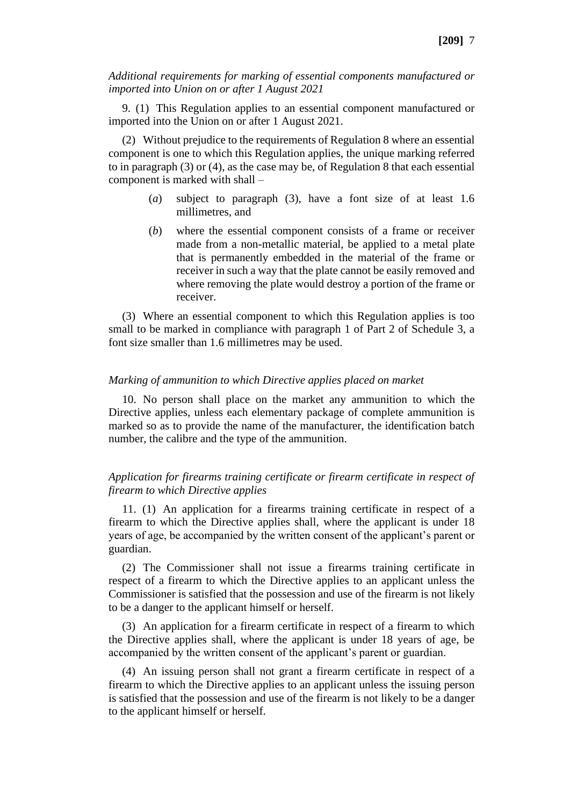*Additional requirements for marking of essential components manufactured or imported into Union on or after 1 August 2021*

9. (1) This Regulation applies to an essential component manufactured or imported into the Union on or after 1 August 2021.

(2) Without prejudice to the requirements of Regulation 8 where an essential component is one to which this Regulation applies, the unique marking referred to in paragraph (3) or (4), as the case may be, of Regulation 8 that each essential component is marked with shall –

- (*a*) subject to paragraph (3), have a font size of at least 1.6 millimetres, and
- (*b*) where the essential component consists of a frame or receiver made from a non-metallic material, be applied to a metal plate that is permanently embedded in the material of the frame or receiver in such a way that the plate cannot be easily removed and where removing the plate would destroy a portion of the frame or receiver.

(3) Where an essential component to which this Regulation applies is too small to be marked in compliance with paragraph 1 of Part 2 of Schedule 3, a font size smaller than 1.6 millimetres may be used.

#### *Marking of ammunition to which Directive applies placed on market*

10. No person shall place on the market any ammunition to which the Directive applies, unless each elementary package of complete ammunition is marked so as to provide the name of the manufacturer, the identification batch number, the calibre and the type of the ammunition.

#### *Application for firearms training certificate or firearm certificate in respect of firearm to which Directive applies*

11. (1) An application for a firearms training certificate in respect of a firearm to which the Directive applies shall, where the applicant is under 18 years of age, be accompanied by the written consent of the applicant's parent or guardian.

(2) The Commissioner shall not issue a firearms training certificate in respect of a firearm to which the Directive applies to an applicant unless the Commissioner is satisfied that the possession and use of the firearm is not likely to be a danger to the applicant himself or herself.

(3) An application for a firearm certificate in respect of a firearm to which the Directive applies shall, where the applicant is under 18 years of age, be accompanied by the written consent of the applicant's parent or guardian.

(4) An issuing person shall not grant a firearm certificate in respect of a firearm to which the Directive applies to an applicant unless the issuing person is satisfied that the possession and use of the firearm is not likely to be a danger to the applicant himself or herself.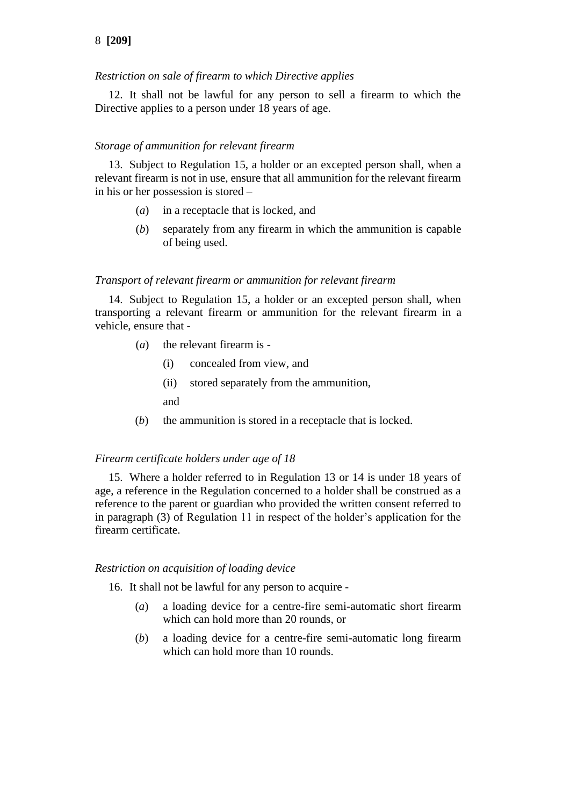# 8 **[209]**

## *Restriction on sale of firearm to which Directive applies*

12. It shall not be lawful for any person to sell a firearm to which the Directive applies to a person under 18 years of age.

#### *Storage of ammunition for relevant firearm*

13. Subject to Regulation 15, a holder or an excepted person shall, when a relevant firearm is not in use, ensure that all ammunition for the relevant firearm in his or her possession is stored –

- (*a*) in a receptacle that is locked, and
- (*b*) separately from any firearm in which the ammunition is capable of being used.

#### *Transport of relevant firearm or ammunition for relevant firearm*

14. Subject to Regulation 15, a holder or an excepted person shall, when transporting a relevant firearm or ammunition for the relevant firearm in a vehicle, ensure that -

- (*a*) the relevant firearm is
	- (i) concealed from view, and
	- (ii) stored separately from the ammunition,

and

(*b*) the ammunition is stored in a receptacle that is locked.

#### *Firearm certificate holders under age of 18*

15. Where a holder referred to in Regulation 13 or 14 is under 18 years of age, a reference in the Regulation concerned to a holder shall be construed as a reference to the parent or guardian who provided the written consent referred to in paragraph (3) of Regulation 11 in respect of the holder's application for the firearm certificate.

#### *Restriction on acquisition of loading device*

16. It shall not be lawful for any person to acquire -

- (*a*) a loading device for a centre-fire semi-automatic short firearm which can hold more than 20 rounds, or
- (*b*) a loading device for a centre-fire semi-automatic long firearm which can hold more than 10 rounds.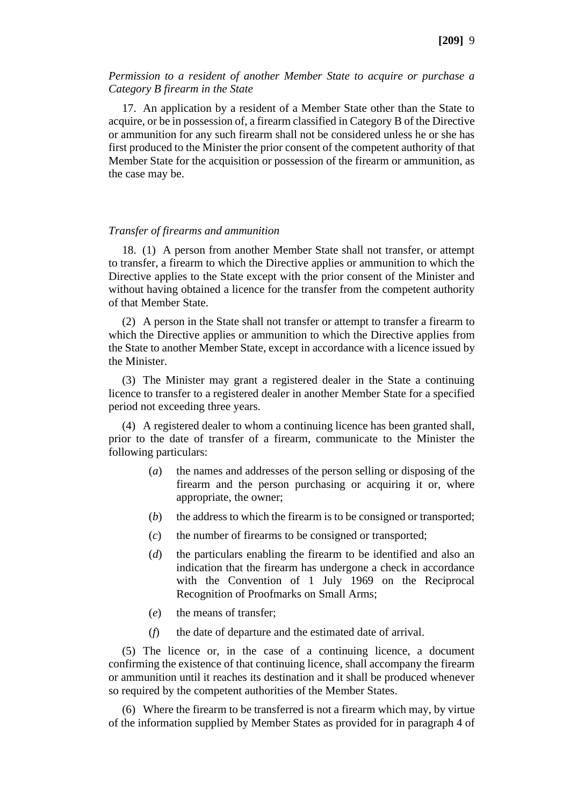#### *Permission to a resident of another Member State to acquire or purchase a Category B firearm in the State*

17. An application by a resident of a Member State other than the State to acquire, or be in possession of, a firearm classified in Category B of the Directive or ammunition for any such firearm shall not be considered unless he or she has first produced to the Minister the prior consent of the competent authority of that Member State for the acquisition or possession of the firearm or ammunition, as the case may be.

#### *Transfer of firearms and ammunition*

18. (1) A person from another Member State shall not transfer, or attempt to transfer, a firearm to which the Directive applies or ammunition to which the Directive applies to the State except with the prior consent of the Minister and without having obtained a licence for the transfer from the competent authority of that Member State.

(2) A person in the State shall not transfer or attempt to transfer a firearm to which the Directive applies or ammunition to which the Directive applies from the State to another Member State, except in accordance with a licence issued by the Minister.

(3) The Minister may grant a registered dealer in the State a continuing licence to transfer to a registered dealer in another Member State for a specified period not exceeding three years.

(4) A registered dealer to whom a continuing licence has been granted shall, prior to the date of transfer of a firearm, communicate to the Minister the following particulars:

- (*a*) the names and addresses of the person selling or disposing of the firearm and the person purchasing or acquiring it or, where appropriate, the owner;
- (*b*) the address to which the firearm is to be consigned or transported;
- (*c*) the number of firearms to be consigned or transported;
- (*d*) the particulars enabling the firearm to be identified and also an indication that the firearm has undergone a check in accordance with the Convention of 1 July 1969 on the Reciprocal Recognition of Proofmarks on Small Arms;
- (*e*) the means of transfer;
- (*f*) the date of departure and the estimated date of arrival.

(5) The licence or, in the case of a continuing licence, a document confirming the existence of that continuing licence, shall accompany the firearm or ammunition until it reaches its destination and it shall be produced whenever so required by the competent authorities of the Member States.

(6) Where the firearm to be transferred is not a firearm which may, by virtue of the information supplied by Member States as provided for in paragraph 4 of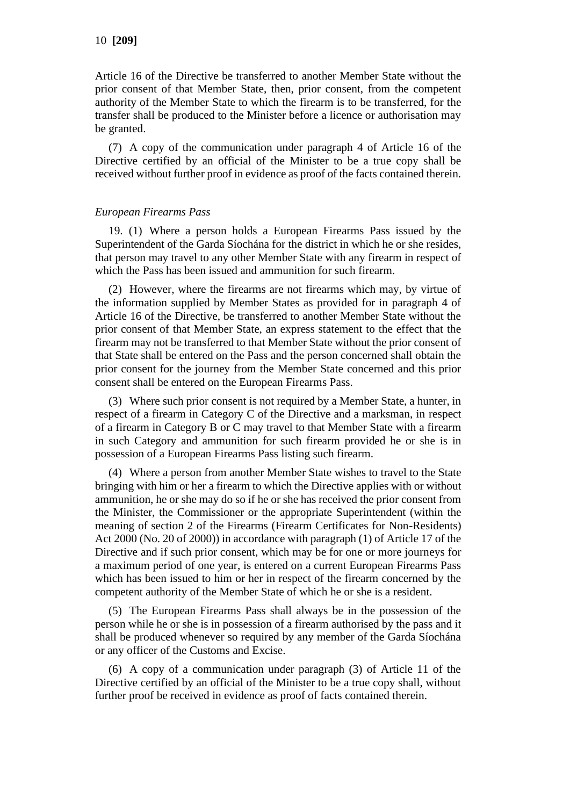Article 16 of the Directive be transferred to another Member State without the prior consent of that Member State, then, prior consent, from the competent authority of the Member State to which the firearm is to be transferred, for the transfer shall be produced to the Minister before a licence or authorisation may be granted.

(7) A copy of the communication under paragraph 4 of Article 16 of the Directive certified by an official of the Minister to be a true copy shall be received without further proof in evidence as proof of the facts contained therein.

## *European Firearms Pass*

19. (1) Where a person holds a European Firearms Pass issued by the Superintendent of the Garda Síochána for the district in which he or she resides, that person may travel to any other Member State with any firearm in respect of which the Pass has been issued and ammunition for such firearm.

(2) However, where the firearms are not firearms which may, by virtue of the information supplied by Member States as provided for in paragraph 4 of Article 16 of the Directive, be transferred to another Member State without the prior consent of that Member State, an express statement to the effect that the firearm may not be transferred to that Member State without the prior consent of that State shall be entered on the Pass and the person concerned shall obtain the prior consent for the journey from the Member State concerned and this prior consent shall be entered on the European Firearms Pass.

(3) Where such prior consent is not required by a Member State, a hunter, in respect of a firearm in Category C of the Directive and a marksman, in respect of a firearm in Category B or C may travel to that Member State with a firearm in such Category and ammunition for such firearm provided he or she is in possession of a European Firearms Pass listing such firearm.

(4) Where a person from another Member State wishes to travel to the State bringing with him or her a firearm to which the Directive applies with or without ammunition, he or she may do so if he or she has received the prior consent from the Minister, the Commissioner or the appropriate Superintendent (within the meaning of section 2 of the Firearms (Firearm Certificates for Non-Residents) Act 2000 (No. 20 of 2000)) in accordance with paragraph (1) of Article 17 of the Directive and if such prior consent, which may be for one or more journeys for a maximum period of one year, is entered on a current European Firearms Pass which has been issued to him or her in respect of the firearm concerned by the competent authority of the Member State of which he or she is a resident.

(5) The European Firearms Pass shall always be in the possession of the person while he or she is in possession of a firearm authorised by the pass and it shall be produced whenever so required by any member of the Garda Síochána or any officer of the Customs and Excise.

(6) A copy of a communication under paragraph (3) of Article 11 of the Directive certified by an official of the Minister to be a true copy shall, without further proof be received in evidence as proof of facts contained therein.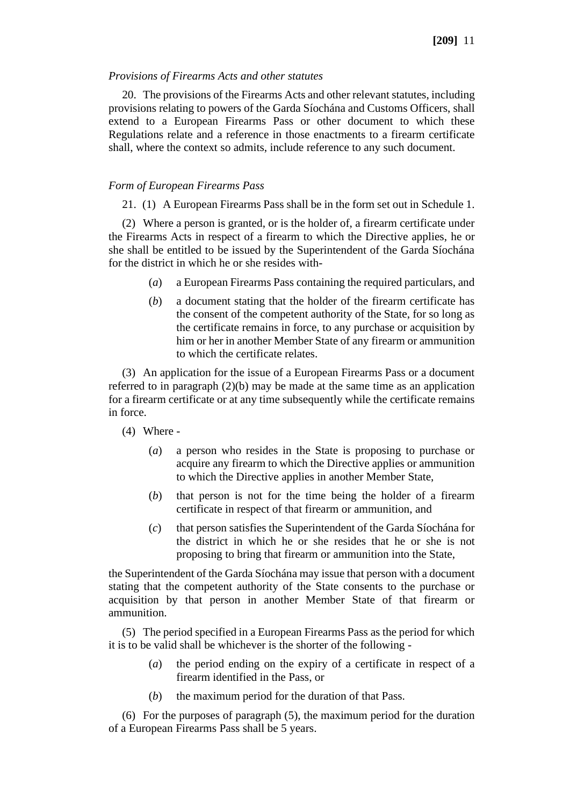#### *Provisions of Firearms Acts and other statutes*

20. The provisions of the Firearms Acts and other relevant statutes, including provisions relating to powers of the Garda Síochána and Customs Officers, shall extend to a European Firearms Pass or other document to which these Regulations relate and a reference in those enactments to a firearm certificate shall, where the context so admits, include reference to any such document.

### *Form of European Firearms Pass*

21. (1) A European Firearms Pass shall be in the form set out in Schedule 1.

(2) Where a person is granted, or is the holder of, a firearm certificate under the Firearms Acts in respect of a firearm to which the Directive applies, he or she shall be entitled to be issued by the Superintendent of the Garda Síochána for the district in which he or she resides with-

- (*a*) a European Firearms Pass containing the required particulars, and
- (*b*) a document stating that the holder of the firearm certificate has the consent of the competent authority of the State, for so long as the certificate remains in force, to any purchase or acquisition by him or her in another Member State of any firearm or ammunition to which the certificate relates.

(3) An application for the issue of a European Firearms Pass or a document referred to in paragraph (2)(b) may be made at the same time as an application for a firearm certificate or at any time subsequently while the certificate remains in force.

- (4) Where
	- (*a*) a person who resides in the State is proposing to purchase or acquire any firearm to which the Directive applies or ammunition to which the Directive applies in another Member State,
	- (*b*) that person is not for the time being the holder of a firearm certificate in respect of that firearm or ammunition, and
	- (*c*) that person satisfies the Superintendent of the Garda Síochána for the district in which he or she resides that he or she is not proposing to bring that firearm or ammunition into the State,

the Superintendent of the Garda Síochána may issue that person with a document stating that the competent authority of the State consents to the purchase or acquisition by that person in another Member State of that firearm or ammunition.

(5) The period specified in a European Firearms Pass as the period for which it is to be valid shall be whichever is the shorter of the following -

- (*a*) the period ending on the expiry of a certificate in respect of a firearm identified in the Pass, or
- (*b*) the maximum period for the duration of that Pass.

(6) For the purposes of paragraph (5), the maximum period for the duration of a European Firearms Pass shall be 5 years.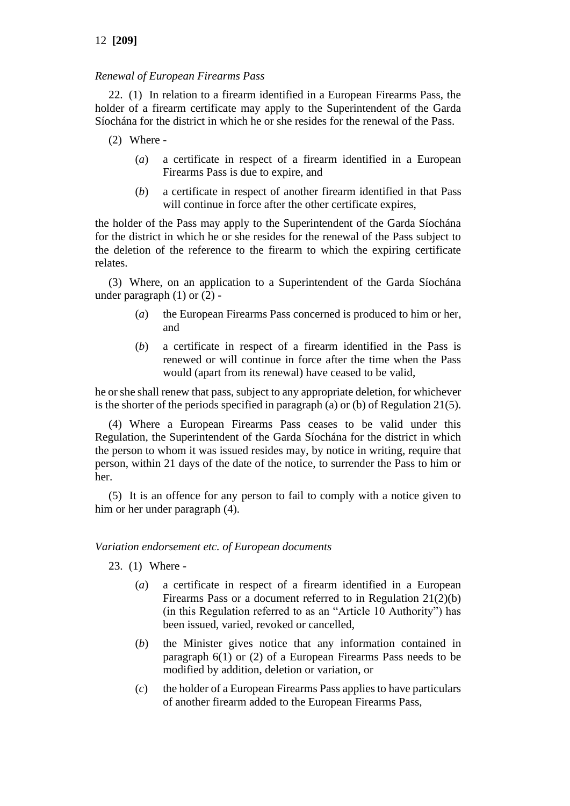# *Renewal of European Firearms Pass*

22. (1) In relation to a firearm identified in a European Firearms Pass, the holder of a firearm certificate may apply to the Superintendent of the Garda Síochána for the district in which he or she resides for the renewal of the Pass.

- (2) Where
	- (*a*) a certificate in respect of a firearm identified in a European Firearms Pass is due to expire, and
	- (*b*) a certificate in respect of another firearm identified in that Pass will continue in force after the other certificate expires,

the holder of the Pass may apply to the Superintendent of the Garda Síochána for the district in which he or she resides for the renewal of the Pass subject to the deletion of the reference to the firearm to which the expiring certificate relates.

(3) Where, on an application to a Superintendent of the Garda Síochána under paragraph (1) or (2) -

- (*a*) the European Firearms Pass concerned is produced to him or her, and
- (*b*) a certificate in respect of a firearm identified in the Pass is renewed or will continue in force after the time when the Pass would (apart from its renewal) have ceased to be valid,

he or she shall renew that pass, subject to any appropriate deletion, for whichever is the shorter of the periods specified in paragraph (a) or (b) of Regulation 21(5).

(4) Where a European Firearms Pass ceases to be valid under this Regulation, the Superintendent of the Garda Síochána for the district in which the person to whom it was issued resides may, by notice in writing, require that person, within 21 days of the date of the notice, to surrender the Pass to him or her.

(5) It is an offence for any person to fail to comply with a notice given to him or her under paragraph (4).

## *Variation endorsement etc. of European documents*

23. (1) Where -

- (*a*) a certificate in respect of a firearm identified in a European Firearms Pass or a document referred to in Regulation 21(2)(b) (in this Regulation referred to as an "Article 10 Authority") has been issued, varied, revoked or cancelled,
- (*b*) the Minister gives notice that any information contained in paragraph 6(1) or (2) of a European Firearms Pass needs to be modified by addition, deletion or variation, or
- (*c*) the holder of a European Firearms Pass applies to have particulars of another firearm added to the European Firearms Pass,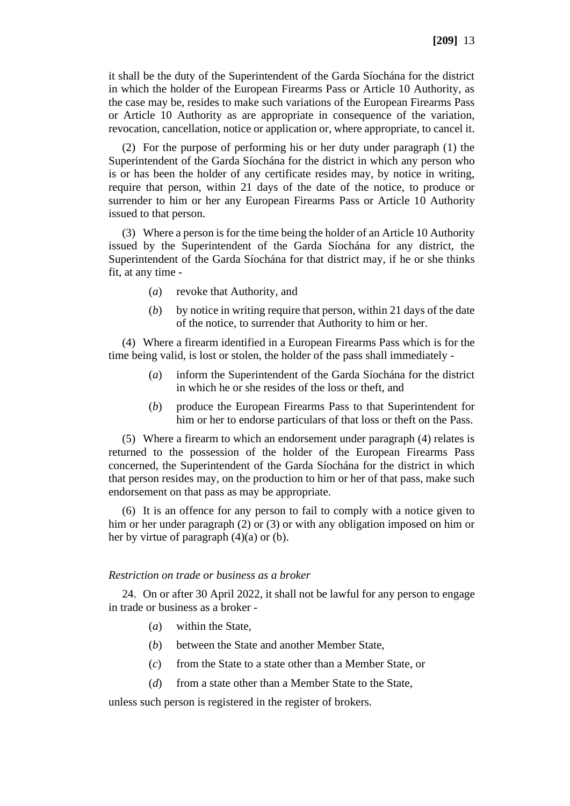it shall be the duty of the Superintendent of the Garda Síochána for the district in which the holder of the European Firearms Pass or Article 10 Authority, as the case may be, resides to make such variations of the European Firearms Pass or Article 10 Authority as are appropriate in consequence of the variation, revocation, cancellation, notice or application or, where appropriate, to cancel it.

(2) For the purpose of performing his or her duty under paragraph (1) the Superintendent of the Garda Síochána for the district in which any person who is or has been the holder of any certificate resides may, by notice in writing, require that person, within 21 days of the date of the notice, to produce or surrender to him or her any European Firearms Pass or Article 10 Authority issued to that person.

(3) Where a person is for the time being the holder of an Article 10 Authority issued by the Superintendent of the Garda Síochána for any district, the Superintendent of the Garda Síochána for that district may, if he or she thinks fit, at any time -

- (*a*) revoke that Authority, and
- (*b*) by notice in writing require that person, within 21 days of the date of the notice, to surrender that Authority to him or her.

(4) Where a firearm identified in a European Firearms Pass which is for the time being valid, is lost or stolen, the holder of the pass shall immediately -

- (*a*) inform the Superintendent of the Garda Síochána for the district in which he or she resides of the loss or theft, and
- (*b*) produce the European Firearms Pass to that Superintendent for him or her to endorse particulars of that loss or theft on the Pass.

(5) Where a firearm to which an endorsement under paragraph (4) relates is returned to the possession of the holder of the European Firearms Pass concerned, the Superintendent of the Garda Síochána for the district in which that person resides may, on the production to him or her of that pass, make such endorsement on that pass as may be appropriate.

(6) It is an offence for any person to fail to comply with a notice given to him or her under paragraph (2) or (3) or with any obligation imposed on him or her by virtue of paragraph  $(4)(a)$  or  $(b)$ .

#### *Restriction on trade or business as a broker*

24. On or after 30 April 2022, it shall not be lawful for any person to engage in trade or business as a broker -

- (*a*) within the State,
- (*b*) between the State and another Member State,
- (*c*) from the State to a state other than a Member State, or
- (*d*) from a state other than a Member State to the State,

unless such person is registered in the register of brokers.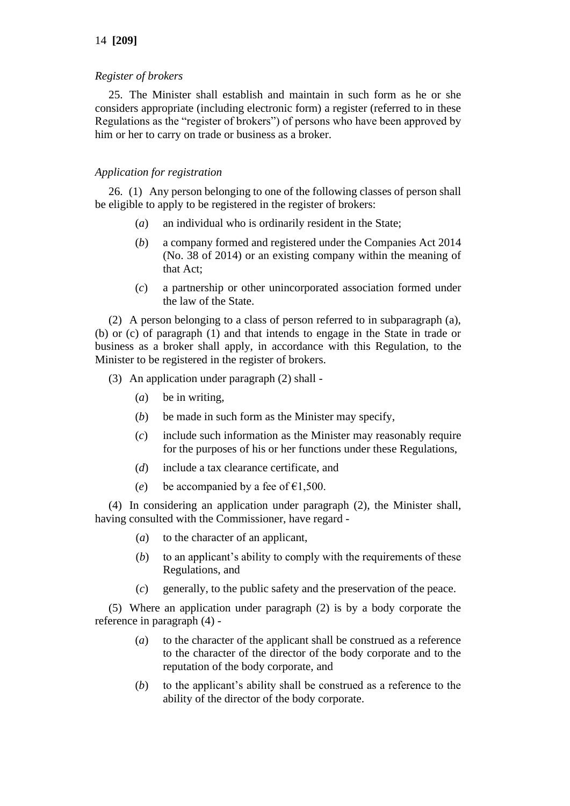## 14 **[209]**

### *Register of brokers*

25. The Minister shall establish and maintain in such form as he or she considers appropriate (including electronic form) a register (referred to in these Regulations as the "register of brokers") of persons who have been approved by him or her to carry on trade or business as a broker.

## *Application for registration*

26. (1) Any person belonging to one of the following classes of person shall be eligible to apply to be registered in the register of brokers:

- (*a*) an individual who is ordinarily resident in the State;
- (*b*) a company formed and registered under the Companies Act 2014 (No. 38 of 2014) or an existing company within the meaning of that Act;
- (*c*) a partnership or other unincorporated association formed under the law of the State.

(2) A person belonging to a class of person referred to in subparagraph (a), (b) or (c) of paragraph (1) and that intends to engage in the State in trade or business as a broker shall apply, in accordance with this Regulation, to the Minister to be registered in the register of brokers.

- (3) An application under paragraph (2) shall
	- (*a*) be in writing,
	- (*b*) be made in such form as the Minister may specify,
	- (*c*) include such information as the Minister may reasonably require for the purposes of his or her functions under these Regulations,
	- (*d*) include a tax clearance certificate, and
	- (*e*) be accompanied by a fee of  $\epsilon$ 1,500.

(4) In considering an application under paragraph (2), the Minister shall, having consulted with the Commissioner, have regard -

- (*a*) to the character of an applicant,
- (*b*) to an applicant's ability to comply with the requirements of these Regulations, and
- (*c*) generally, to the public safety and the preservation of the peace.

(5) Where an application under paragraph (2) is by a body corporate the reference in paragraph (4) -

- (*a*) to the character of the applicant shall be construed as a reference to the character of the director of the body corporate and to the reputation of the body corporate, and
- (*b*) to the applicant's ability shall be construed as a reference to the ability of the director of the body corporate.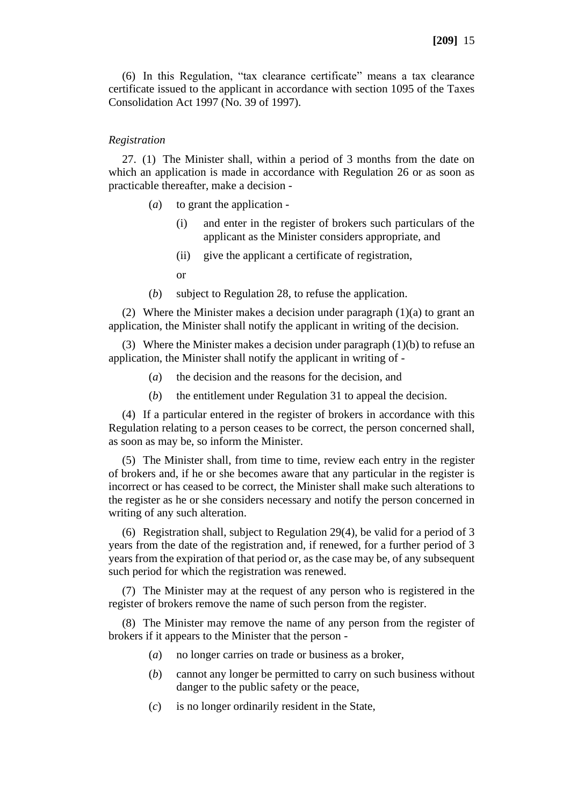(6) In this Regulation, "tax clearance certificate" means a tax clearance certificate issued to the applicant in accordance with section 1095 of the Taxes Consolidation Act 1997 (No. 39 of 1997).

#### *Registration*

27. (1) The Minister shall, within a period of 3 months from the date on which an application is made in accordance with Regulation 26 or as soon as practicable thereafter, make a decision -

- (*a*) to grant the application
	- (i) and enter in the register of brokers such particulars of the applicant as the Minister considers appropriate, and
	- (ii) give the applicant a certificate of registration,
	- or
- (*b*) subject to Regulation 28, to refuse the application.

(2) Where the Minister makes a decision under paragraph  $(1)(a)$  to grant an application, the Minister shall notify the applicant in writing of the decision.

(3) Where the Minister makes a decision under paragraph (1)(b) to refuse an application, the Minister shall notify the applicant in writing of -

- (*a*) the decision and the reasons for the decision, and
- (*b*) the entitlement under Regulation 31 to appeal the decision.

(4) If a particular entered in the register of brokers in accordance with this Regulation relating to a person ceases to be correct, the person concerned shall, as soon as may be, so inform the Minister.

(5) The Minister shall, from time to time, review each entry in the register of brokers and, if he or she becomes aware that any particular in the register is incorrect or has ceased to be correct, the Minister shall make such alterations to the register as he or she considers necessary and notify the person concerned in writing of any such alteration.

(6) Registration shall, subject to Regulation 29(4), be valid for a period of 3 years from the date of the registration and, if renewed, for a further period of 3 years from the expiration of that period or, as the case may be, of any subsequent such period for which the registration was renewed.

(7) The Minister may at the request of any person who is registered in the register of brokers remove the name of such person from the register.

(8) The Minister may remove the name of any person from the register of brokers if it appears to the Minister that the person -

- (*a*) no longer carries on trade or business as a broker,
- (*b*) cannot any longer be permitted to carry on such business without danger to the public safety or the peace,
- (*c*) is no longer ordinarily resident in the State,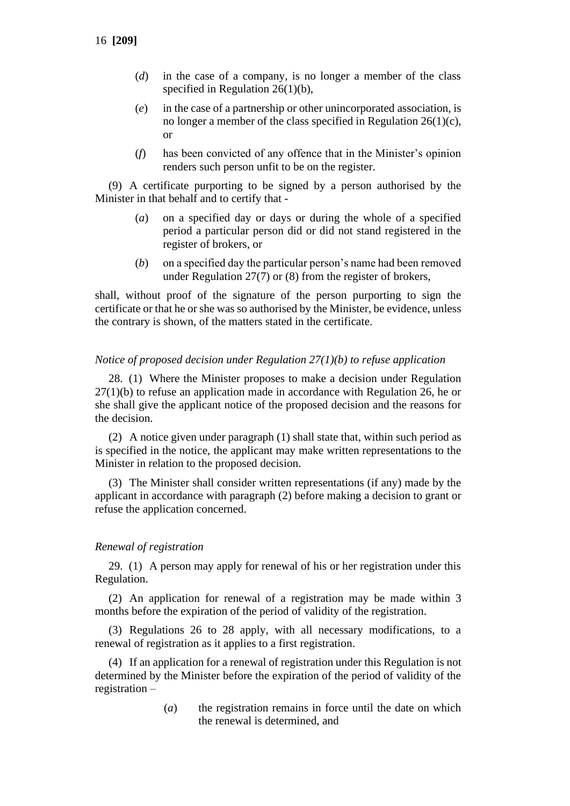- (*d*) in the case of a company, is no longer a member of the class specified in Regulation 26(1)(b),
- (*e*) in the case of a partnership or other unincorporated association, is no longer a member of the class specified in Regulation 26(1)(c), or
- (*f*) has been convicted of any offence that in the Minister's opinion renders such person unfit to be on the register.

(9) A certificate purporting to be signed by a person authorised by the Minister in that behalf and to certify that -

- (*a*) on a specified day or days or during the whole of a specified period a particular person did or did not stand registered in the register of brokers, or
- (*b*) on a specified day the particular person's name had been removed under Regulation 27(7) or (8) from the register of brokers,

shall, without proof of the signature of the person purporting to sign the certificate or that he or she was so authorised by the Minister, be evidence, unless the contrary is shown, of the matters stated in the certificate.

#### *Notice of proposed decision under Regulation 27(1)(b) to refuse application*

28. (1) Where the Minister proposes to make a decision under Regulation 27(1)(b) to refuse an application made in accordance with Regulation 26, he or she shall give the applicant notice of the proposed decision and the reasons for the decision.

(2) A notice given under paragraph (1) shall state that, within such period as is specified in the notice, the applicant may make written representations to the Minister in relation to the proposed decision.

(3) The Minister shall consider written representations (if any) made by the applicant in accordance with paragraph (2) before making a decision to grant or refuse the application concerned.

#### *Renewal of registration*

29. (1) A person may apply for renewal of his or her registration under this Regulation.

(2) An application for renewal of a registration may be made within 3 months before the expiration of the period of validity of the registration.

(3) Regulations 26 to 28 apply, with all necessary modifications, to a renewal of registration as it applies to a first registration.

(4) If an application for a renewal of registration under this Regulation is not determined by the Minister before the expiration of the period of validity of the registration –

> (*a*) the registration remains in force until the date on which the renewal is determined, and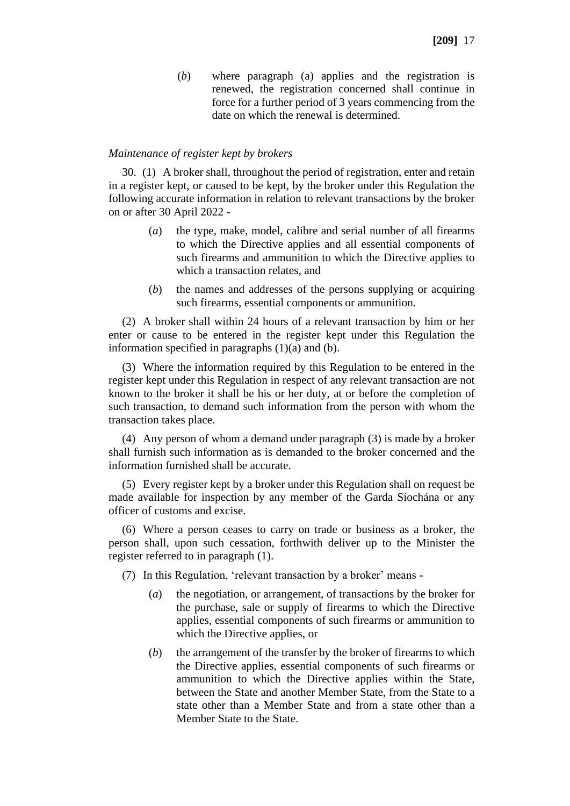(*b*) where paragraph (a) applies and the registration is renewed, the registration concerned shall continue in force for a further period of 3 years commencing from the date on which the renewal is determined.

#### *Maintenance of register kept by brokers*

30. (1) A broker shall, throughout the period of registration, enter and retain in a register kept, or caused to be kept, by the broker under this Regulation the following accurate information in relation to relevant transactions by the broker on or after 30 April 2022 -

- (*a*) the type, make, model, calibre and serial number of all firearms to which the Directive applies and all essential components of such firearms and ammunition to which the Directive applies to which a transaction relates, and
- (*b*) the names and addresses of the persons supplying or acquiring such firearms, essential components or ammunition.

(2) A broker shall within 24 hours of a relevant transaction by him or her enter or cause to be entered in the register kept under this Regulation the information specified in paragraphs  $(1)(a)$  and  $(b)$ .

(3) Where the information required by this Regulation to be entered in the register kept under this Regulation in respect of any relevant transaction are not known to the broker it shall be his or her duty, at or before the completion of such transaction, to demand such information from the person with whom the transaction takes place.

(4) Any person of whom a demand under paragraph (3) is made by a broker shall furnish such information as is demanded to the broker concerned and the information furnished shall be accurate.

(5) Every register kept by a broker under this Regulation shall on request be made available for inspection by any member of the Garda Síochána or any officer of customs and excise.

(6) Where a person ceases to carry on trade or business as a broker, the person shall, upon such cessation, forthwith deliver up to the Minister the register referred to in paragraph (1).

(7) In this Regulation, 'relevant transaction by a broker' means -

- (*a*) the negotiation, or arrangement, of transactions by the broker for the purchase, sale or supply of firearms to which the Directive applies, essential components of such firearms or ammunition to which the Directive applies, or
- (*b*) the arrangement of the transfer by the broker of firearms to which the Directive applies, essential components of such firearms or ammunition to which the Directive applies within the State, between the State and another Member State, from the State to a state other than a Member State and from a state other than a Member State to the State.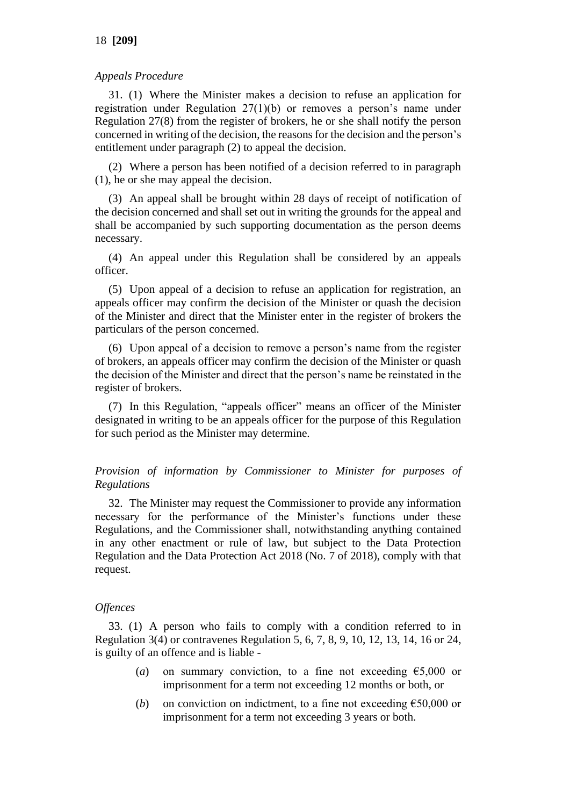## *Appeals Procedure*

31. (1) Where the Minister makes a decision to refuse an application for registration under Regulation 27(1)(b) or removes a person's name under Regulation 27(8) from the register of brokers, he or she shall notify the person concerned in writing of the decision, the reasons for the decision and the person's entitlement under paragraph (2) to appeal the decision.

(2) Where a person has been notified of a decision referred to in paragraph (1), he or she may appeal the decision.

(3) An appeal shall be brought within 28 days of receipt of notification of the decision concerned and shall set out in writing the grounds for the appeal and shall be accompanied by such supporting documentation as the person deems necessary.

(4) An appeal under this Regulation shall be considered by an appeals officer.

(5) Upon appeal of a decision to refuse an application for registration, an appeals officer may confirm the decision of the Minister or quash the decision of the Minister and direct that the Minister enter in the register of brokers the particulars of the person concerned.

(6) Upon appeal of a decision to remove a person's name from the register of brokers, an appeals officer may confirm the decision of the Minister or quash the decision of the Minister and direct that the person's name be reinstated in the register of brokers.

(7) In this Regulation, "appeals officer" means an officer of the Minister designated in writing to be an appeals officer for the purpose of this Regulation for such period as the Minister may determine.

*Provision of information by Commissioner to Minister for purposes of Regulations*

32. The Minister may request the Commissioner to provide any information necessary for the performance of the Minister's functions under these Regulations, and the Commissioner shall, notwithstanding anything contained in any other enactment or rule of law, but subject to the Data Protection Regulation and the Data Protection Act 2018 (No. 7 of 2018), comply with that request.

# *Offences*

33. (1) A person who fails to comply with a condition referred to in Regulation 3(4) or contravenes Regulation 5, 6, 7, 8, 9, 10, 12, 13, 14, 16 or 24, is guilty of an offence and is liable -

- (*a*) on summary conviction, to a fine not exceeding  $\epsilon$ 5,000 or imprisonment for a term not exceeding 12 months or both, or
- (*b*) on conviction on indictment, to a fine not exceeding  $\epsilon$ 50,000 or imprisonment for a term not exceeding 3 years or both.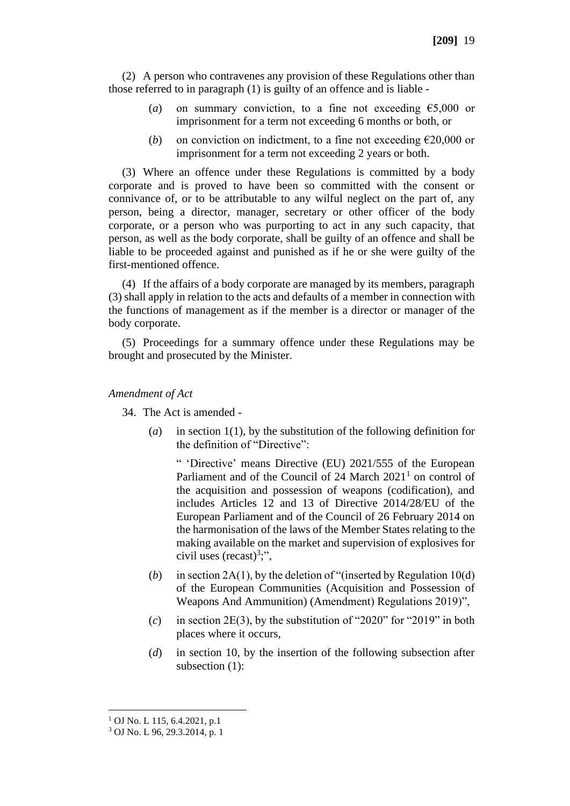(2) A person who contravenes any provision of these Regulations other than those referred to in paragraph (1) is guilty of an offence and is liable -

- (*a*) on summary conviction, to a fine not exceeding  $\epsilon$ 5,000 or imprisonment for a term not exceeding 6 months or both, or
- (*b*) on conviction on indictment, to a fine not exceeding  $\epsilon$ 20,000 or imprisonment for a term not exceeding 2 years or both.

(3) Where an offence under these Regulations is committed by a body corporate and is proved to have been so committed with the consent or connivance of, or to be attributable to any wilful neglect on the part of, any person, being a director, manager, secretary or other officer of the body corporate, or a person who was purporting to act in any such capacity, that person, as well as the body corporate, shall be guilty of an offence and shall be liable to be proceeded against and punished as if he or she were guilty of the first-mentioned offence.

(4) If the affairs of a body corporate are managed by its members, paragraph (3) shall apply in relation to the acts and defaults of a member in connection with the functions of management as if the member is a director or manager of the body corporate.

(5) Proceedings for a summary offence under these Regulations may be brought and prosecuted by the Minister.

#### *Amendment of Act*

34. The Act is amended -

(*a*) in section 1(1), by the substitution of the following definition for the definition of "Directive":

" 'Directive' means Directive (EU) 2021/555 of the European Parliament and of the Council of 24 March 2021<sup>1</sup> on control of the acquisition and possession of weapons (codification), and includes Articles 12 and 13 of Directive 2014/28/EU of the European Parliament and of the Council of 26 February 2014 on the harmonisation of the laws of the Member States relating to the making available on the market and supervision of explosives for civil uses (recast)<sup>3</sup>;",

- (*b*) in section 2A(1), by the deletion of "(inserted by Regulation 10(d) of the European Communities (Acquisition and Possession of Weapons And Ammunition) (Amendment) Regulations 2019)",
- (*c*) in section 2E(3), by the substitution of "2020" for "2019" in both places where it occurs,
- (*d*) in section 10, by the insertion of the following subsection after subsection (1):

 $1$  OJ No. L 115, 6.4.2021, p.1

<sup>3</sup> OJ No. L 96, 29.3.2014, p. 1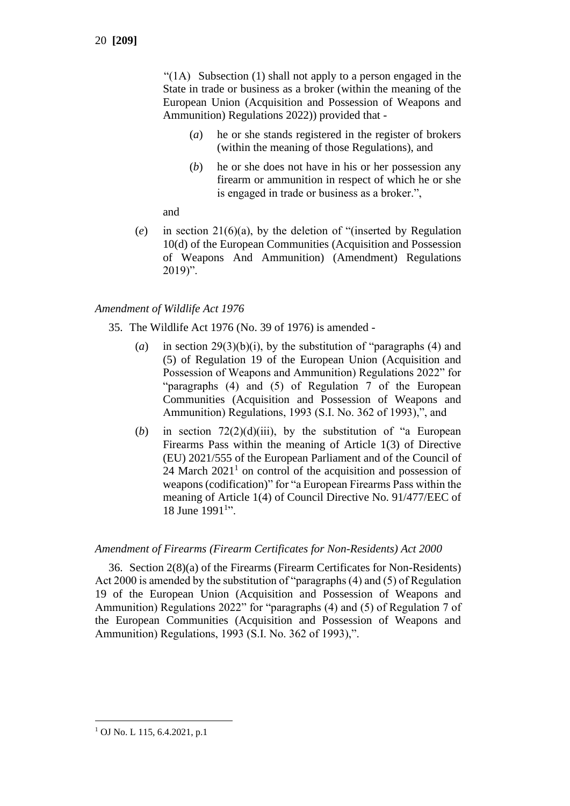"(1A) Subsection (1) shall not apply to a person engaged in the State in trade or business as a broker (within the meaning of the European Union (Acquisition and Possession of Weapons and Ammunition) Regulations 2022)) provided that -

- (*a*) he or she stands registered in the register of brokers (within the meaning of those Regulations), and
- (*b*) he or she does not have in his or her possession any firearm or ammunition in respect of which he or she is engaged in trade or business as a broker.",

#### and

(*e*) in section 21(6)(a), by the deletion of "(inserted by Regulation 10(d) of the European Communities (Acquisition and Possession of Weapons And Ammunition) (Amendment) Regulations 2019)".

## *Amendment of Wildlife Act 1976*

- 35. The Wildlife Act 1976 (No. 39 of 1976) is amended
	- (*a*) in section 29(3)(b)(i), by the substitution of "paragraphs (4) and (5) of Regulation 19 of the European Union (Acquisition and Possession of Weapons and Ammunition) Regulations 2022" for "paragraphs (4) and (5) of Regulation 7 of the European Communities (Acquisition and Possession of Weapons and Ammunition) Regulations, 1993 (S.I. No. 362 of 1993),", and
	- (*b*) in section  $72(2)(d)(iii)$ , by the substitution of "a European Firearms Pass within the meaning of Article 1(3) of Directive (EU) 2021/555 of the European Parliament and of the Council of 24 March  $2021<sup>1</sup>$  on control of the acquisition and possession of weapons (codification)" for "a European Firearms Pass within the meaning of Article 1(4) of Council Directive No. 91/477/EEC of 18 June 1991<sup>1</sup>".

## *Amendment of Firearms (Firearm Certificates for Non-Residents) Act 2000*

36. Section 2(8)(a) of the Firearms (Firearm Certificates for Non-Residents) Act 2000 is amended by the substitution of "paragraphs (4) and (5) of Regulation 19 of the European Union (Acquisition and Possession of Weapons and Ammunition) Regulations 2022" for "paragraphs (4) and (5) of Regulation 7 of the European Communities (Acquisition and Possession of Weapons and Ammunition) Regulations, 1993 (S.I. No. 362 of 1993),".

<sup>1</sup> OJ No. L 115, 6.4.2021, p.1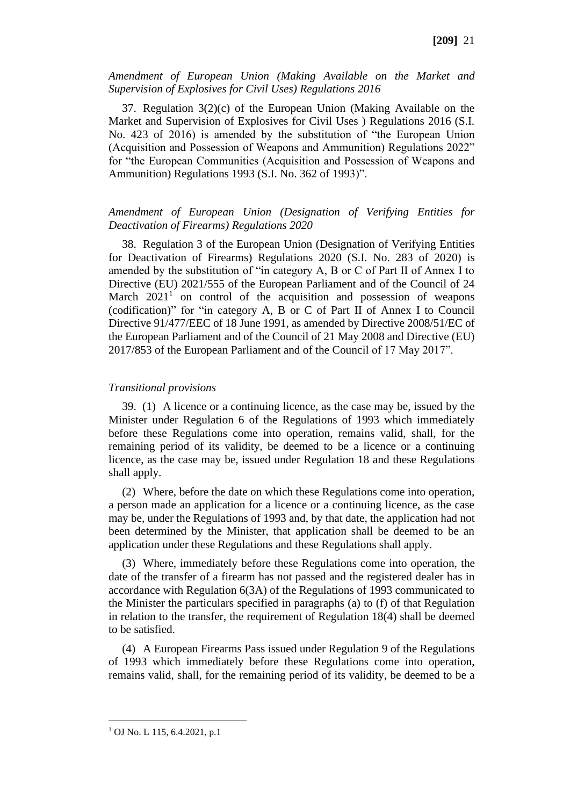#### *Amendment of European Union (Making Available on the Market and Supervision of Explosives for Civil Uses) Regulations 2016*

37. Regulation 3(2)(c) of the European Union (Making Available on the Market and Supervision of Explosives for Civil Uses ) Regulations 2016 (S.I. No. 423 of 2016) is amended by the substitution of "the European Union (Acquisition and Possession of Weapons and Ammunition) Regulations 2022" for "the European Communities (Acquisition and Possession of Weapons and Ammunition) Regulations 1993 (S.I. No. 362 of 1993)".

## *Amendment of European Union (Designation of Verifying Entities for Deactivation of Firearms) Regulations 2020*

38. Regulation 3 of the European Union (Designation of Verifying Entities for Deactivation of Firearms) Regulations 2020 (S.I. No. 283 of 2020) is amended by the substitution of "in category A, B or C of Part II of Annex I to Directive (EU) 2021/555 of the European Parliament and of the Council of 24 March  $2021<sup>1</sup>$  on control of the acquisition and possession of weapons (codification)" for "in category A, B or C of Part II of Annex I to Council Directive 91/477/EEC of 18 June 1991, as amended by Directive 2008/51/EC of the European Parliament and of the Council of 21 May 2008 and Directive (EU) 2017/853 of the European Parliament and of the Council of 17 May 2017".

## *Transitional provisions*

39. (1) A licence or a continuing licence, as the case may be, issued by the Minister under Regulation 6 of the Regulations of 1993 which immediately before these Regulations come into operation, remains valid, shall, for the remaining period of its validity, be deemed to be a licence or a continuing licence, as the case may be, issued under Regulation 18 and these Regulations shall apply.

(2) Where, before the date on which these Regulations come into operation, a person made an application for a licence or a continuing licence, as the case may be, under the Regulations of 1993 and, by that date, the application had not been determined by the Minister, that application shall be deemed to be an application under these Regulations and these Regulations shall apply.

(3) Where, immediately before these Regulations come into operation, the date of the transfer of a firearm has not passed and the registered dealer has in accordance with Regulation 6(3A) of the Regulations of 1993 communicated to the Minister the particulars specified in paragraphs (a) to (f) of that Regulation in relation to the transfer, the requirement of Regulation 18(4) shall be deemed to be satisfied.

(4) A European Firearms Pass issued under Regulation 9 of the Regulations of 1993 which immediately before these Regulations come into operation, remains valid, shall, for the remaining period of its validity, be deemed to be a

<sup>1</sup> OJ No. L 115, 6.4.2021, p.1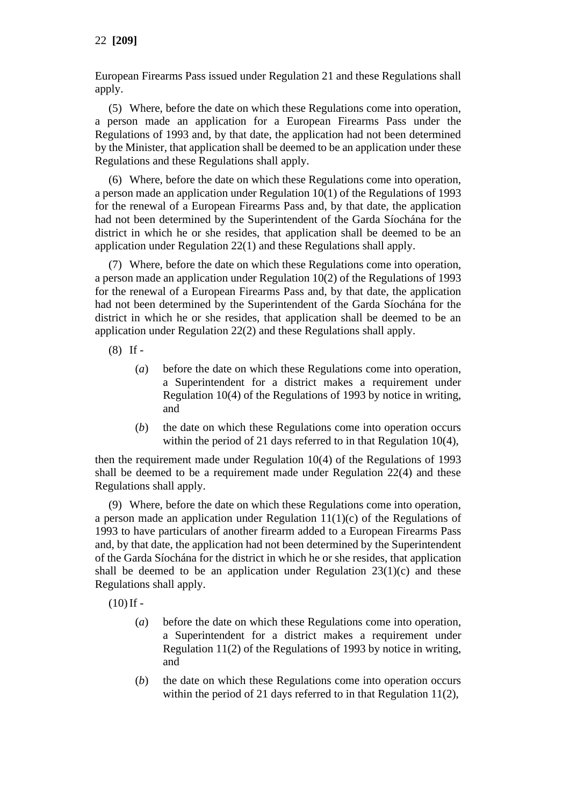European Firearms Pass issued under Regulation 21 and these Regulations shall apply.

(5) Where, before the date on which these Regulations come into operation, a person made an application for a European Firearms Pass under the Regulations of 1993 and, by that date, the application had not been determined by the Minister, that application shall be deemed to be an application under these Regulations and these Regulations shall apply.

(6) Where, before the date on which these Regulations come into operation, a person made an application under Regulation 10(1) of the Regulations of 1993 for the renewal of a European Firearms Pass and, by that date, the application had not been determined by the Superintendent of the Garda Síochána for the district in which he or she resides, that application shall be deemed to be an application under Regulation 22(1) and these Regulations shall apply.

(7) Where, before the date on which these Regulations come into operation, a person made an application under Regulation 10(2) of the Regulations of 1993 for the renewal of a European Firearms Pass and, by that date, the application had not been determined by the Superintendent of the Garda Síochána for the district in which he or she resides, that application shall be deemed to be an application under Regulation 22(2) and these Regulations shall apply.

- (8) If
	- (*a*) before the date on which these Regulations come into operation, a Superintendent for a district makes a requirement under Regulation 10(4) of the Regulations of 1993 by notice in writing, and
	- (*b*) the date on which these Regulations come into operation occurs within the period of 21 days referred to in that Regulation 10(4),

then the requirement made under Regulation 10(4) of the Regulations of 1993 shall be deemed to be a requirement made under Regulation 22(4) and these Regulations shall apply.

(9) Where, before the date on which these Regulations come into operation, a person made an application under Regulation  $11(1)(c)$  of the Regulations of 1993 to have particulars of another firearm added to a European Firearms Pass and, by that date, the application had not been determined by the Superintendent of the Garda Síochána for the district in which he or she resides, that application shall be deemed to be an application under Regulation  $23(1)(c)$  and these Regulations shall apply.

 $(10)$  If -

- (*a*) before the date on which these Regulations come into operation, a Superintendent for a district makes a requirement under Regulation 11(2) of the Regulations of 1993 by notice in writing, and
- (*b*) the date on which these Regulations come into operation occurs within the period of 21 days referred to in that Regulation 11(2),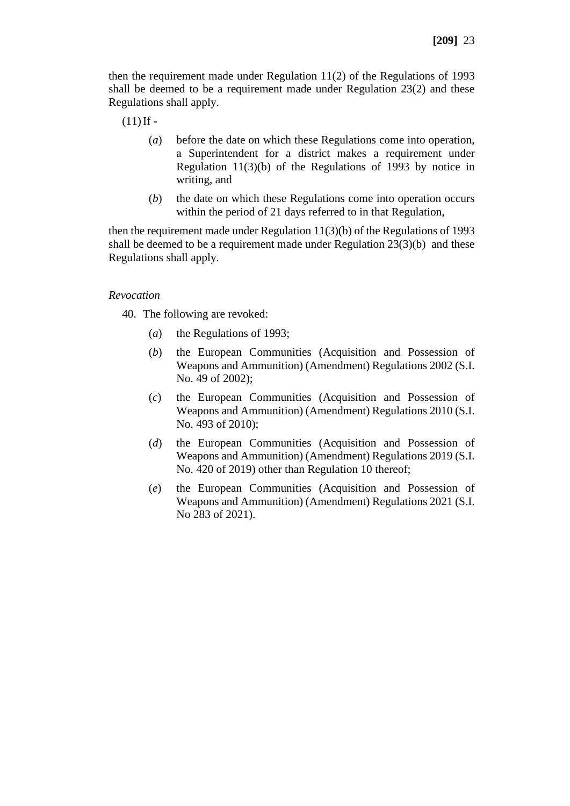then the requirement made under Regulation 11(2) of the Regulations of 1993 shall be deemed to be a requirement made under Regulation 23(2) and these Regulations shall apply.

 $(11)$  If -

- (*a*) before the date on which these Regulations come into operation, a Superintendent for a district makes a requirement under Regulation 11(3)(b) of the Regulations of 1993 by notice in writing, and
- (*b*) the date on which these Regulations come into operation occurs within the period of 21 days referred to in that Regulation,

then the requirement made under Regulation 11(3)(b) of the Regulations of 1993 shall be deemed to be a requirement made under Regulation 23(3)(b) and these Regulations shall apply.

#### *Revocation*

40. The following are revoked:

- (*a*) the Regulations of 1993;
- (*b*) the European Communities (Acquisition and Possession of Weapons and Ammunition) (Amendment) Regulations 2002 (S.I. No. 49 of 2002);
- (*c*) the European Communities (Acquisition and Possession of Weapons and Ammunition) (Amendment) Regulations 2010 (S.I. No. 493 of 2010);
- (*d*) the European Communities (Acquisition and Possession of Weapons and Ammunition) (Amendment) Regulations 2019 (S.I. No. 420 of 2019) other than Regulation 10 thereof;
- (*e*) the European Communities (Acquisition and Possession of Weapons and Ammunition) (Amendment) Regulations 2021 (S.I. No 283 of 2021).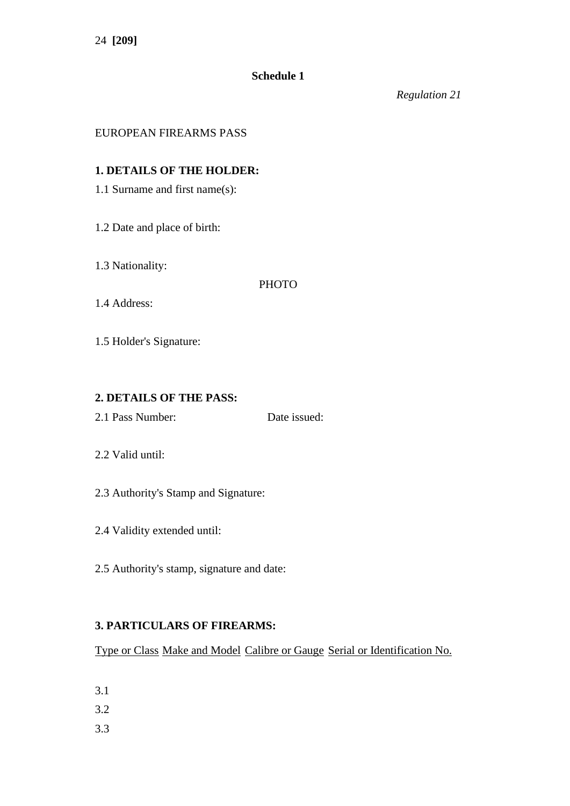# **Schedule 1**

*Regulation 21*

## EUROPEAN FIREARMS PASS

## **1. DETAILS OF THE HOLDER:**

- 1.1 Surname and first name(s):
- 1.2 Date and place of birth:
- 1.3 Nationality:

## **PHOTO**

1.4 Address:

1.5 Holder's Signature:

# **2. DETAILS OF THE PASS:**

2.1 Pass Number: Date issued:

- 2.2 Valid until:
- 2.3 Authority's Stamp and Signature:
- 2.4 Validity extended until:
- 2.5 Authority's stamp, signature and date:

# **3. PARTICULARS OF FIREARMS:**

Type or Class Make and Model Calibre or Gauge Serial or Identification No.

- 3.1
- 3.2
- 3.3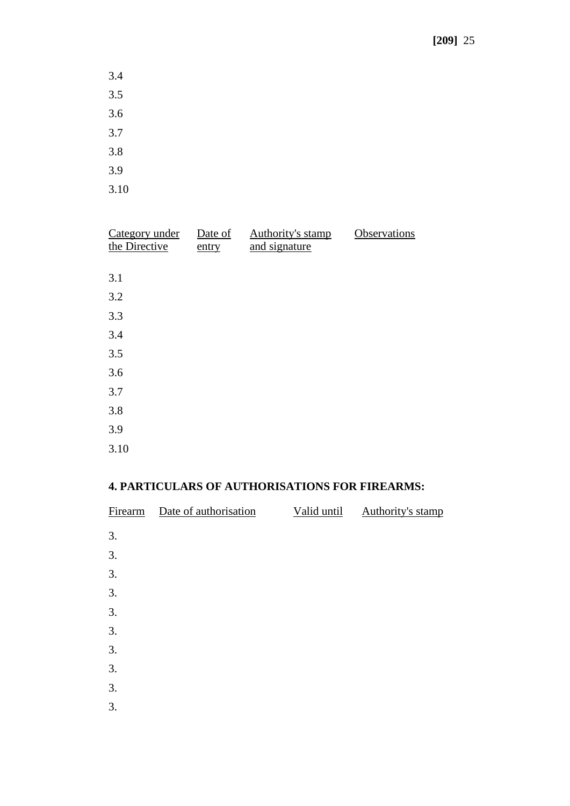- 3.4 3.5 3.6 3.7
- 3.8
- 3.9
- 3.10

| Category under<br>the Directive | Date of<br>entry | Authority's stamp<br>and signature | Observations |
|---------------------------------|------------------|------------------------------------|--------------|
|                                 |                  |                                    |              |
| 3.1                             |                  |                                    |              |
| 3.2                             |                  |                                    |              |
| 3.3                             |                  |                                    |              |
| 3.4                             |                  |                                    |              |
| 3.5                             |                  |                                    |              |
| 3.6                             |                  |                                    |              |
| 3.7                             |                  |                                    |              |
| 3.8                             |                  |                                    |              |
| 3.9                             |                  |                                    |              |
| 3.10                            |                  |                                    |              |

# **4. PARTICULARS OF AUTHORISATIONS FOR FIREARMS:**

| Firearm | Date of authorisation | Valid until | Authority's stamp |
|---------|-----------------------|-------------|-------------------|
| 3.      |                       |             |                   |
| 3.      |                       |             |                   |
| 3.      |                       |             |                   |
| 3.      |                       |             |                   |
| 3.      |                       |             |                   |
| 3.      |                       |             |                   |
| 3.      |                       |             |                   |
| 3.      |                       |             |                   |
| 3.      |                       |             |                   |
| 3.      |                       |             |                   |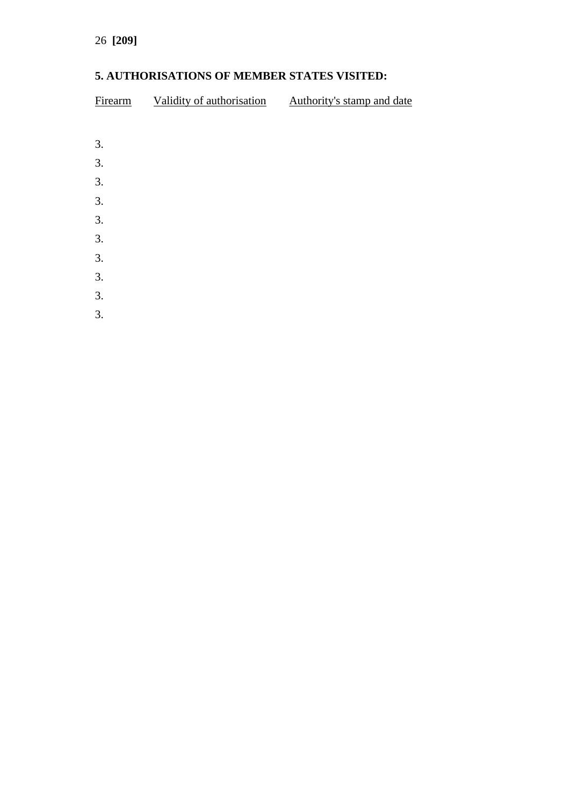# **5. AUTHORISATIONS OF MEMBER STATES VISITED:**

| Firearm | Validity of authorisation | Authority's stamp and date |
|---------|---------------------------|----------------------------|
|         |                           |                            |
| 3.      |                           |                            |
| 3.      |                           |                            |
| 3.      |                           |                            |
| 3.      |                           |                            |
| 3.      |                           |                            |
| 3.      |                           |                            |
| 3.      |                           |                            |
| 3.      |                           |                            |
| 3.      |                           |                            |

3.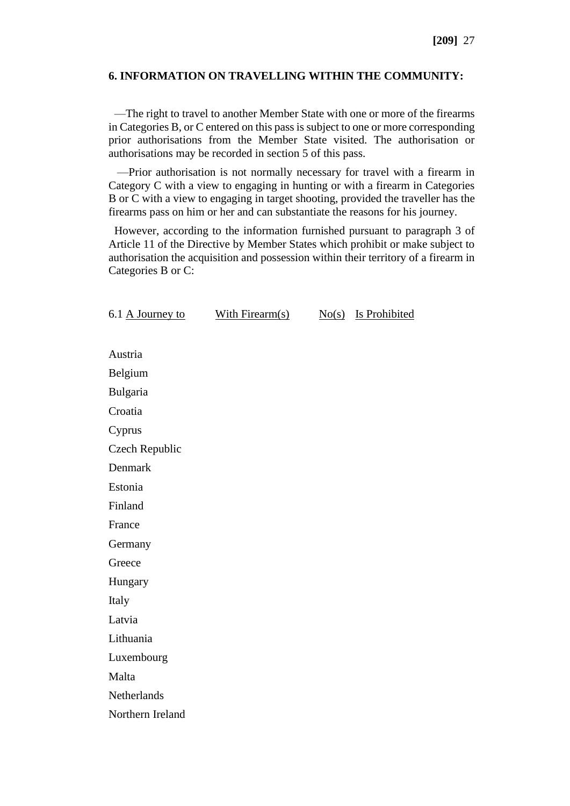### **6. INFORMATION ON TRAVELLING WITHIN THE COMMUNITY:**

 —The right to travel to another Member State with one or more of the firearms in Categories B, or C entered on this pass is subject to one or more corresponding prior authorisations from the Member State visited. The authorisation or authorisations may be recorded in section 5 of this pass.

 —Prior authorisation is not normally necessary for travel with a firearm in Category C with a view to engaging in hunting or with a firearm in Categories B or C with a view to engaging in target shooting, provided the traveller has the firearms pass on him or her and can substantiate the reasons for his journey.

 However, according to the information furnished pursuant to paragraph 3 of Article 11 of the Directive by Member States which prohibit or make subject to authorisation the acquisition and possession within their territory of a firearm in Categories B or C:

| 6.1 A Journey to | With Firearm(s) | No(s) | <b>Is Prohibited</b> |
|------------------|-----------------|-------|----------------------|
|                  |                 |       |                      |
| Austria          |                 |       |                      |
| Belgium          |                 |       |                      |
| Bulgaria         |                 |       |                      |
| Croatia          |                 |       |                      |
| Cyprus           |                 |       |                      |
| Czech Republic   |                 |       |                      |
| Denmark          |                 |       |                      |
| Estonia          |                 |       |                      |
| Finland          |                 |       |                      |
| France           |                 |       |                      |
| Germany          |                 |       |                      |
| Greece           |                 |       |                      |
| Hungary          |                 |       |                      |
| Italy            |                 |       |                      |
| Latvia           |                 |       |                      |
| Lithuania        |                 |       |                      |
| Luxembourg       |                 |       |                      |
| Malta            |                 |       |                      |
| Netherlands      |                 |       |                      |
| Northern Ireland |                 |       |                      |
|                  |                 |       |                      |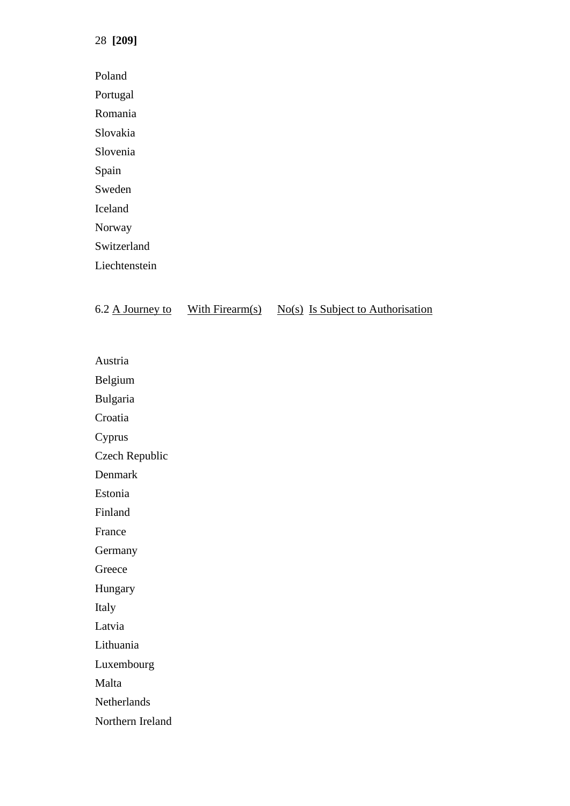28 **[209]**

Poland Portugal Romania Slovakia Slovenia Spain Sweden Iceland Norway Switzerland Liechtenstein

|  | 6.2 A Journey to | With Firearm $(s)$ |  | $No(s)$ Is Subject to Authorisation |
|--|------------------|--------------------|--|-------------------------------------|
|--|------------------|--------------------|--|-------------------------------------|

Austria

Belgium

Bulgaria

Croatia

Cyprus

Czech Republic

Denmark

Estonia

Finland

France

Germany

Greece

Hungary

Italy

Latvia

Lithuania

Luxembourg

Malta

Netherlands

Northern Ireland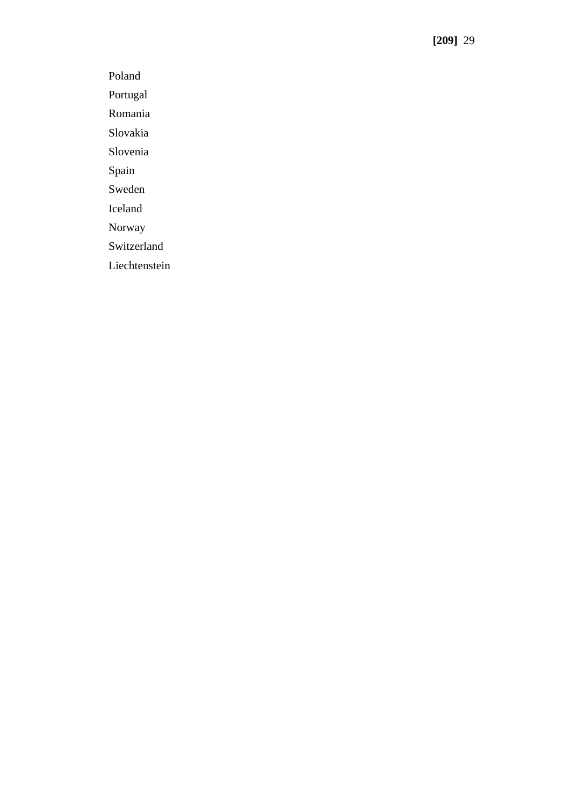Poland

Portugal

Romania

Slovakia

Slovenia

Spain

Sweden

Iceland

Norway

Switzerland

Liechtenstein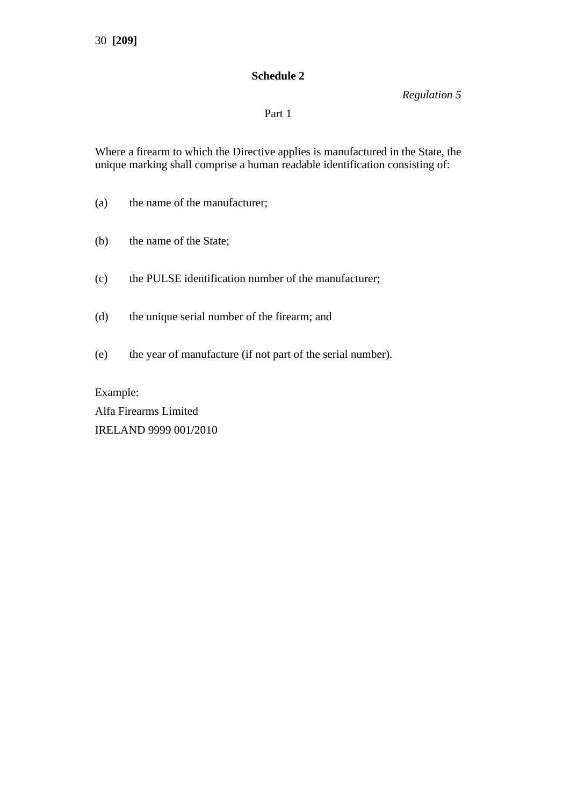# **Schedule 2**

*Regulation 5*

## Part 1

Where a firearm to which the Directive applies is manufactured in the State, the unique marking shall comprise a human readable identification consisting of:

- (a) the name of the manufacturer;
- (b) the name of the State;
- (c) the PULSE identification number of the manufacturer;
- (d) the unique serial number of the firearm; and
- (e) the year of manufacture (if not part of the serial number).

Example: Alfa Firearms Limited IRELAND 9999 001/2010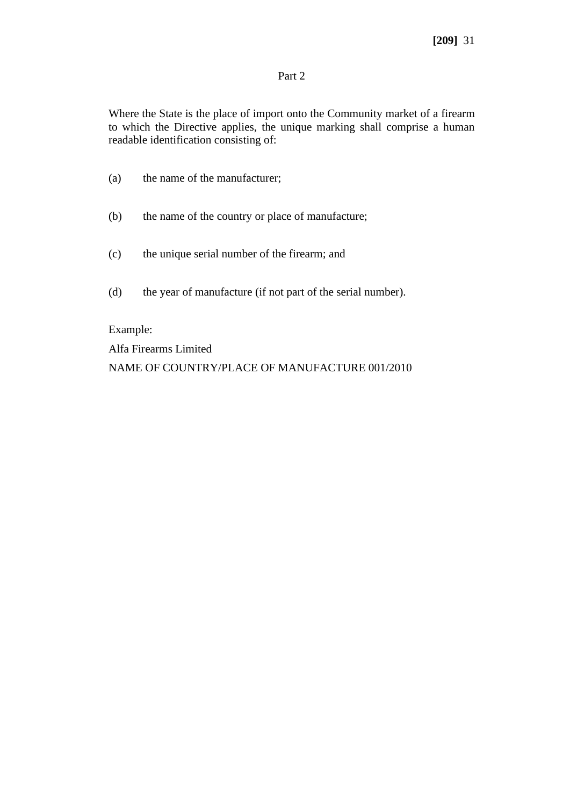## Part 2

Where the State is the place of import onto the Community market of a firearm to which the Directive applies, the unique marking shall comprise a human readable identification consisting of:

- (a) the name of the manufacturer;
- (b) the name of the country or place of manufacture;
- (c) the unique serial number of the firearm; and
- (d) the year of manufacture (if not part of the serial number).

Example:

Alfa Firearms Limited

NAME OF COUNTRY/PLACE OF MANUFACTURE 001/2010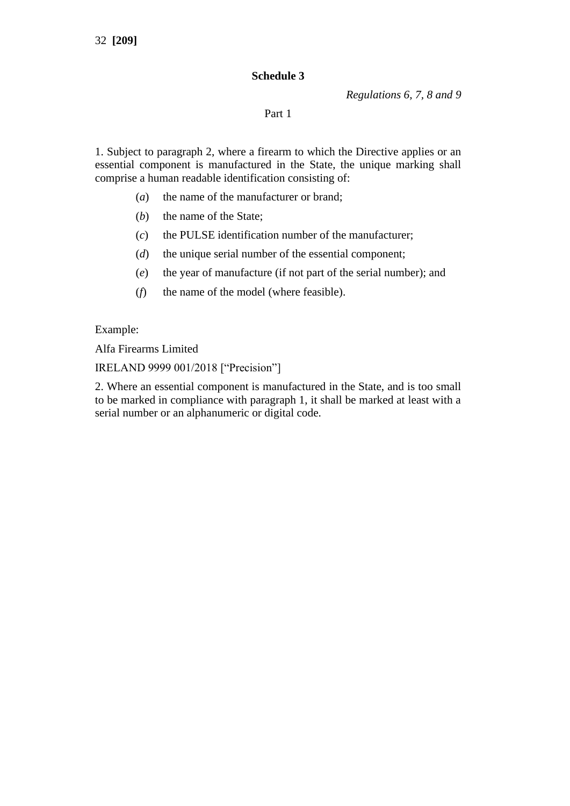# **Schedule 3**

*Regulations 6, 7, 8 and 9*

## Part 1

1. Subject to paragraph 2, where a firearm to which the Directive applies or an essential component is manufactured in the State, the unique marking shall comprise a human readable identification consisting of:

- (*a*) the name of the manufacturer or brand;
- (*b*) the name of the State;
- (*c*) the PULSE identification number of the manufacturer;
- (*d*) the unique serial number of the essential component;
- (*e*) the year of manufacture (if not part of the serial number); and
- (*f*) the name of the model (where feasible).

Example:

Alfa Firearms Limited

IRELAND 9999 001/2018 ["Precision"]

2. Where an essential component is manufactured in the State, and is too small to be marked in compliance with paragraph 1, it shall be marked at least with a serial number or an alphanumeric or digital code.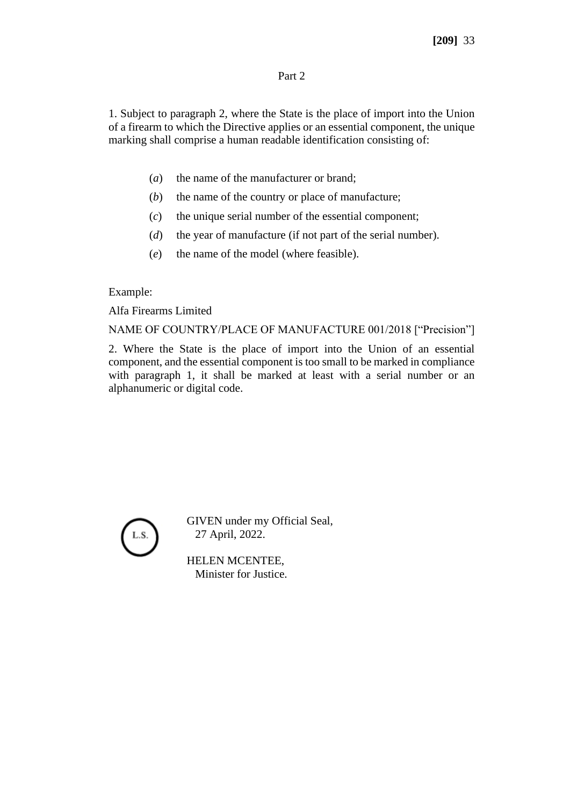## Part 2

1. Subject to paragraph 2, where the State is the place of import into the Union of a firearm to which the Directive applies or an essential component, the unique marking shall comprise a human readable identification consisting of:

- (*a*) the name of the manufacturer or brand;
- (*b*) the name of the country or place of manufacture;
- (*c*) the unique serial number of the essential component;
- (*d*) the year of manufacture (if not part of the serial number).
- (*e*) the name of the model (where feasible).

## Example:

Alfa Firearms Limited

NAME OF COUNTRY/PLACE OF MANUFACTURE 001/2018 ["Precision"]

2. Where the State is the place of import into the Union of an essential component, and the essential component is too small to be marked in compliance with paragraph 1, it shall be marked at least with a serial number or an alphanumeric or digital code.



GIVEN under my Official Seal, 27 April, 2022.

HELEN MCENTEE, Minister for Justice.